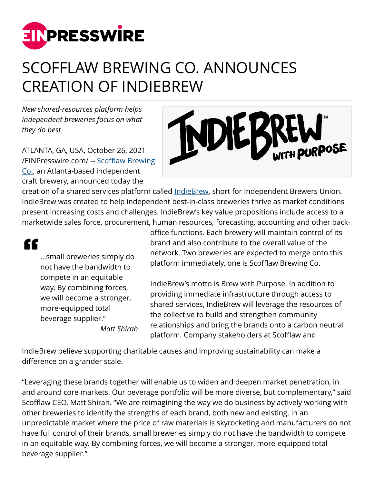

## SCOFFLAW BREWING CO. ANNOUNCES CREATION OF INDIEBREW

*New shared-resources platform helps independent breweries focus on what they do best*

ATLANTA, GA, USA, October 26, 2021 [/EINPresswire.com/](http://www.einpresswire.com) -- [Scofflaw Brewing](https://scofflawbeer.com/) [Co.](https://scofflawbeer.com/), an Atlanta-based independent craft brewery, announced today the



creation of a shared services platform called [IndieBrew,](https://indiebrew.com/) short for Independent Brewers Union. IndieBrew was created to help independent best-in-class breweries thrive as market conditions present increasing costs and challenges. IndieBrew's key value propositions include access to a marketwide sales force, procurement, human resources, forecasting, accounting and other back-

££

...small breweries simply do not have the bandwidth to compete in an equitable way. By combining forces, we will become a stronger, more-equipped total beverage supplier." *Matt Shirah* office functions. Each brewery will maintain control of its brand and also contribute to the overall value of the network. Two breweries are expected to merge onto this platform immediately, one is Scofflaw Brewing Co.

IndieBrew's motto is Brew with Purpose. In addition to providing immediate infrastructure through access to shared services, IndieBrew will leverage the resources of the collective to build and strengthen community relationships and bring the brands onto a carbon neutral platform. Company stakeholders at Scofflaw and

IndieBrew believe supporting charitable causes and improving sustainability can make a difference on a grander scale.

"Leveraging these brands together will enable us to widen and deepen market penetration, in and around core markets. Our beverage portfolio will be more diverse, but complementary," said Scofflaw CEO, Matt Shirah. "We are reimagining the way we do business by actively working with other breweries to identify the strengths of each brand, both new and existing. In an unpredictable market where the price of raw materials is skyrocketing and manufacturers do not have full control of their brands, small breweries simply do not have the bandwidth to compete in an equitable way. By combining forces, we will become a stronger, more-equipped total beverage supplier."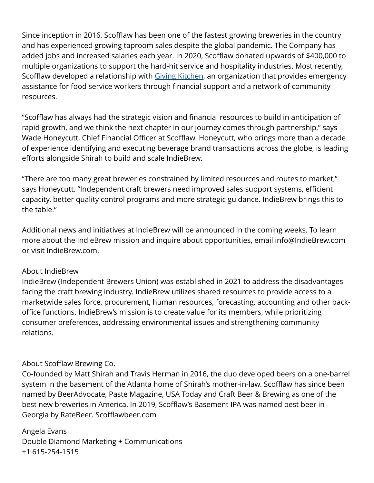Since inception in 2016, Scofflaw has been one of the fastest growing breweries in the country and has experienced growing taproom sales despite the global pandemic. The Company has added jobs and increased salaries each year. In 2020, Scofflaw donated upwards of \$400,000 to multiple organizations to support the hard-hit service and hospitality industries. Most recently, Scofflaw developed a relationship with [Giving Kitchen](https://thegivingkitchen.org/), an organization that provides emergency assistance for food service workers through financial support and a network of community resources.

"Scofflaw has always had the strategic vision and financial resources to build in anticipation of rapid growth, and we think the next chapter in our journey comes through partnership," says Wade Honeycutt, Chief Financial Officer at Scofflaw. Honeycutt, who brings more than a decade of experience identifying and executing beverage brand transactions across the globe, is leading efforts alongside Shirah to build and scale IndieBrew.

"There are too many great breweries constrained by limited resources and routes to market," says Honeycutt. "Independent craft brewers need improved sales support systems, efficient capacity, better quality control programs and more strategic guidance. IndieBrew brings this to the table."

Additional news and initiatives at IndieBrew will be announced in the coming weeks. To learn more about the IndieBrew mission and inquire about opportunities, email info@IndieBrew.com or visit IndieBrew.com.

## About IndieBrew

IndieBrew (Independent Brewers Union) was established in 2021 to address the disadvantages facing the craft brewing industry. IndieBrew utilizes shared resources to provide access to a marketwide sales force, procurement, human resources, forecasting, accounting and other backoffice functions. IndieBrew's mission is to create value for its members, while prioritizing consumer preferences, addressing environmental issues and strengthening community relations.

## About Scofflaw Brewing Co.

Co-founded by Matt Shirah and Travis Herman in 2016, the duo developed beers on a one-barrel system in the basement of the Atlanta home of Shirah's mother-in-law. Scofflaw has since been named by BeerAdvocate, Paste Magazine, USA Today and Craft Beer & Brewing as one of the best new breweries in America. In 2019, Scofflaw's Basement IPA was named best beer in Georgia by RateBeer. Scofflawbeer.com

## Angela Evans

Double Diamond Marketing + Communications +1 615-254-1515